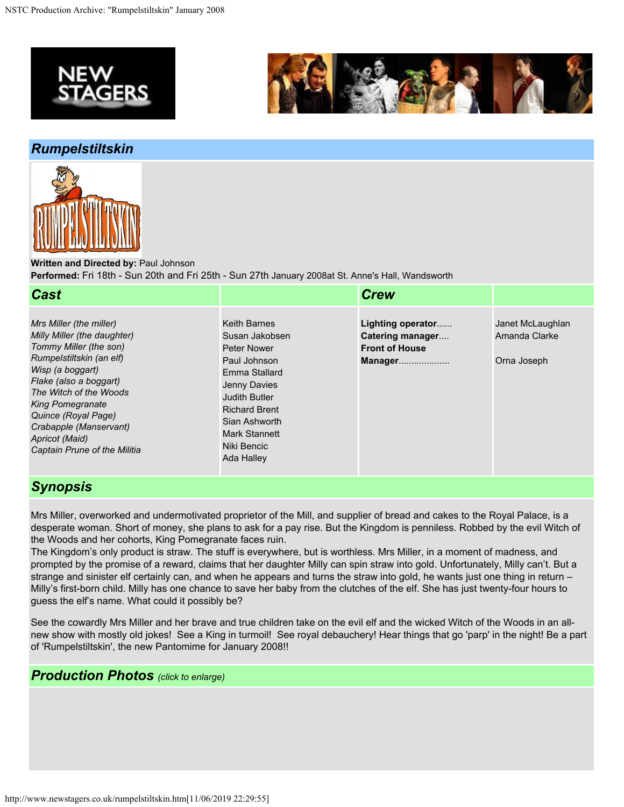



## *Rumpelstiltskin*



**Written and Directed by:** Paul Johnson **Performed:** Fri 18th - Sun 20th and Fri 25th - Sun 27th January 2008at St. Anne's Hall, Wandsworth

| <b>Cast</b>                                                                                                                                                                                                                                                                                                        |                                                                                                                                                                                                                      | <b>Crew</b>                                                               |                                                  |
|--------------------------------------------------------------------------------------------------------------------------------------------------------------------------------------------------------------------------------------------------------------------------------------------------------------------|----------------------------------------------------------------------------------------------------------------------------------------------------------------------------------------------------------------------|---------------------------------------------------------------------------|--------------------------------------------------|
| Mrs Miller (the miller)<br>Milly Miller (the daughter)<br>Tommy Miller (the son)<br>Rumpelstiltskin (an elf)<br>Wisp (a boggart)<br>Flake (also a boggart)<br>The Witch of the Woods<br><b>King Pomegranate</b><br>Quince (Royal Page)<br>Crabapple (Manservant)<br>Apricot (Maid)<br>Captain Prune of the Militia | <b>Keith Barnes</b><br>Susan Jakobsen<br><b>Peter Nower</b><br>Paul Johnson<br>Emma Stallard<br>Jenny Davies<br>Judith Butler<br><b>Richard Brent</b><br>Sian Ashworth<br>Mark Stannett<br>Niki Bencic<br>Ada Halley | Lighting operator<br>Catering manager<br><b>Front of House</b><br>Manager | Janet McLaughlan<br>Amanda Clarke<br>Orna Joseph |

## *Synopsis*

Mrs Miller, overworked and undermotivated proprietor of the Mill, and supplier of bread and cakes to the Royal Palace, is a desperate woman. Short of money, she plans to ask for a pay rise. But the Kingdom is penniless. Robbed by the evil Witch of the Woods and her cohorts, King Pomegranate faces ruin.

The Kingdom's only product is straw. The stuff is everywhere, but is worthless. Mrs Miller, in a moment of madness, and prompted by the promise of a reward, claims that her daughter Milly can spin straw into gold. Unfortunately, Milly can't. But a strange and sinister elf certainly can, and when he appears and turns the straw into gold, he wants just one thing in return – Milly's first-born child. Milly has one chance to save her baby from the clutches of the elf. She has just twenty-four hours to guess the elf's name. What could it possibly be?

See the cowardly Mrs Miller and her brave and true children take on the evil elf and the wicked Witch of the Woods in an allnew show with mostly old jokes! See a King in turmoil! See royal debauchery! Hear things that go 'parp' in the night! Be a part of 'Rumpelstiltskin', the new Pantomime for January 2008!!

## *Production Photos (click to enlarge)*